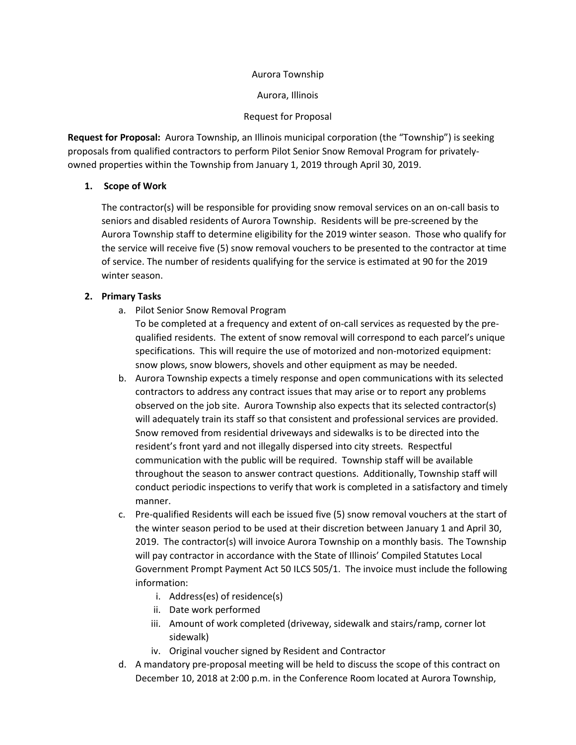#### Aurora Township

Aurora, Illinois

#### Request for Proposal

**Request for Proposal:** Aurora Township, an Illinois municipal corporation (the "Township") is seeking proposals from qualified contractors to perform Pilot Senior Snow Removal Program for privatelyowned properties within the Township from January 1, 2019 through April 30, 2019.

## **1. Scope of Work**

The contractor(s) will be responsible for providing snow removal services on an on-call basis to seniors and disabled residents of Aurora Township. Residents will be pre-screened by the Aurora Township staff to determine eligibility for the 2019 winter season. Those who qualify for the service will receive five (5) snow removal vouchers to be presented to the contractor at time of service. The number of residents qualifying for the service is estimated at 90 for the 2019 winter season.

## **2. Primary Tasks**

a. Pilot Senior Snow Removal Program

To be completed at a frequency and extent of on-call services as requested by the prequalified residents. The extent of snow removal will correspond to each parcel's unique specifications. This will require the use of motorized and non-motorized equipment: snow plows, snow blowers, shovels and other equipment as may be needed.

- b. Aurora Township expects a timely response and open communications with its selected contractors to address any contract issues that may arise or to report any problems observed on the job site. Aurora Township also expects that its selected contractor(s) will adequately train its staff so that consistent and professional services are provided. Snow removed from residential driveways and sidewalks is to be directed into the resident's front yard and not illegally dispersed into city streets. Respectful communication with the public will be required. Township staff will be available throughout the season to answer contract questions. Additionally, Township staff will conduct periodic inspections to verify that work is completed in a satisfactory and timely manner.
- c. Pre-qualified Residents will each be issued five (5) snow removal vouchers at the start of the winter season period to be used at their discretion between January 1 and April 30, 2019. The contractor(s) will invoice Aurora Township on a monthly basis. The Township will pay contractor in accordance with the State of Illinois' Compiled Statutes Local Government Prompt Payment Act 50 ILCS 505/1. The invoice must include the following information:
	- i. Address(es) of residence(s)
	- ii. Date work performed
	- iii. Amount of work completed (driveway, sidewalk and stairs/ramp, corner lot sidewalk)
	- iv. Original voucher signed by Resident and Contractor
- d. A mandatory pre-proposal meeting will be held to discuss the scope of this contract on December 10, 2018 at 2:00 p.m. in the Conference Room located at Aurora Township,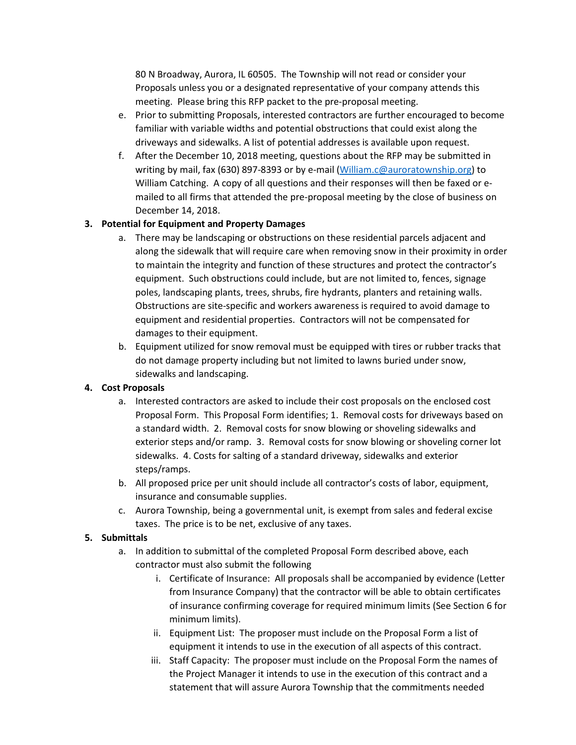80 N Broadway, Aurora, IL 60505. The Township will not read or consider your Proposals unless you or a designated representative of your company attends this meeting. Please bring this RFP packet to the pre-proposal meeting.

- e. Prior to submitting Proposals, interested contractors are further encouraged to become familiar with variable widths and potential obstructions that could exist along the driveways and sidewalks. A list of potential addresses is available upon request.
- f. After the December 10, 2018 meeting, questions about the RFP may be submitted in writing by mail, fax (630) 897-8393 or by e-mail [\(William.c@auroratownship.org\)](mailto:William.c@auroratownship.org) to William Catching. A copy of all questions and their responses will then be faxed or emailed to all firms that attended the pre-proposal meeting by the close of business on December 14, 2018.

# **3. Potential for Equipment and Property Damages**

- a. There may be landscaping or obstructions on these residential parcels adjacent and along the sidewalk that will require care when removing snow in their proximity in order to maintain the integrity and function of these structures and protect the contractor's equipment. Such obstructions could include, but are not limited to, fences, signage poles, landscaping plants, trees, shrubs, fire hydrants, planters and retaining walls. Obstructions are site-specific and workers awareness is required to avoid damage to equipment and residential properties. Contractors will not be compensated for damages to their equipment.
- b. Equipment utilized for snow removal must be equipped with tires or rubber tracks that do not damage property including but not limited to lawns buried under snow, sidewalks and landscaping.

#### **4. Cost Proposals**

- a. Interested contractors are asked to include their cost proposals on the enclosed cost Proposal Form. This Proposal Form identifies; 1. Removal costs for driveways based on a standard width. 2. Removal costs for snow blowing or shoveling sidewalks and exterior steps and/or ramp. 3. Removal costs for snow blowing or shoveling corner lot sidewalks. 4. Costs for salting of a standard driveway, sidewalks and exterior steps/ramps.
- b. All proposed price per unit should include all contractor's costs of labor, equipment, insurance and consumable supplies.
- c. Aurora Township, being a governmental unit, is exempt from sales and federal excise taxes. The price is to be net, exclusive of any taxes.

#### **5. Submittals**

- a. In addition to submittal of the completed Proposal Form described above, each contractor must also submit the following
	- i. Certificate of Insurance: All proposals shall be accompanied by evidence (Letter from Insurance Company) that the contractor will be able to obtain certificates of insurance confirming coverage for required minimum limits (See Section 6 for minimum limits).
	- ii. Equipment List: The proposer must include on the Proposal Form a list of equipment it intends to use in the execution of all aspects of this contract.
	- iii. Staff Capacity: The proposer must include on the Proposal Form the names of the Project Manager it intends to use in the execution of this contract and a statement that will assure Aurora Township that the commitments needed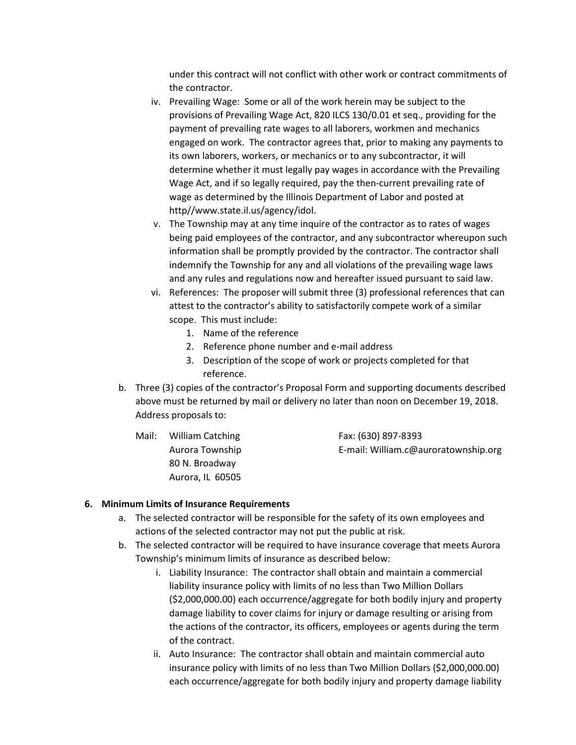under this contract will not conflict with other work or contract commitments of the contractor.

- iv. Prevailing Wage: Some or all of the work herein may be subject to the provisions of Prevailing Wage Act, 820 ILCS 130/0.01 et seq., providing for the payment of prevailing rate wages to all laborers, workmen and mechanics engaged on work. The contractor agrees that, prior to making any payments to its own laborers, workers, or mechanics or to any subcontractor, it will determine whether it must legally pay wages in accordance with the Prevailing Wage Act, and if so legally required, pay the then-current prevailing rate of wage as determined by the Illinois Department of Labor and posted at http//www.state.il.us/agency/idol.
- v. The Township may at any time inquire of the contractor as to rates of wages being paid employees of the contractor, and any subcontractor whereupon such information shall be promptly provided by the contractor. The contractor shall indemnify the Township for any and all violations of the prevailing wage laws and any rules and regulations now and hereafter issued pursuant to said law.
- vi. References: The proposer will submit three (3) professional references that can attest to the contractor's ability to satisfactorily compete work of a similar scope. This must include:
	- 1. Name of the reference
	- 2. Reference phone number and e-mail address
	- 3. Description of the scope of work or projects completed for that reference.
- b. Three (3) copies of the contractor's Proposal Form and supporting documents described above must be returned by mail or delivery no later than noon on December 19, 2018. Address proposals to:
	- Mail: William Catching Fax: (630) 897-8393 Aurora Township E-mail: William.c@auroratownship.org 80 N. Broadway Aurora, IL 60505

#### **6. Minimum Limits of Insurance Requirements**

- a. The selected contractor will be responsible for the safety of its own employees and actions of the selected contractor may not put the public at risk.
- b. The selected contractor will be required to have insurance coverage that meets Aurora Township's minimum limits of insurance as described below:
	- i. Liability Insurance: The contractor shall obtain and maintain a commercial liability insurance policy with limits of no less than Two Million Dollars (\$2,000,000.00) each occurrence/aggregate for both bodily injury and property damage liability to cover claims for injury or damage resulting or arising from the actions of the contractor, its officers, employees or agents during the term of the contract.
	- ii. Auto Insurance: The contractor shall obtain and maintain commercial auto insurance policy with limits of no less than Two Million Dollars (\$2,000,000.00) each occurrence/aggregate for both bodily injury and property damage liability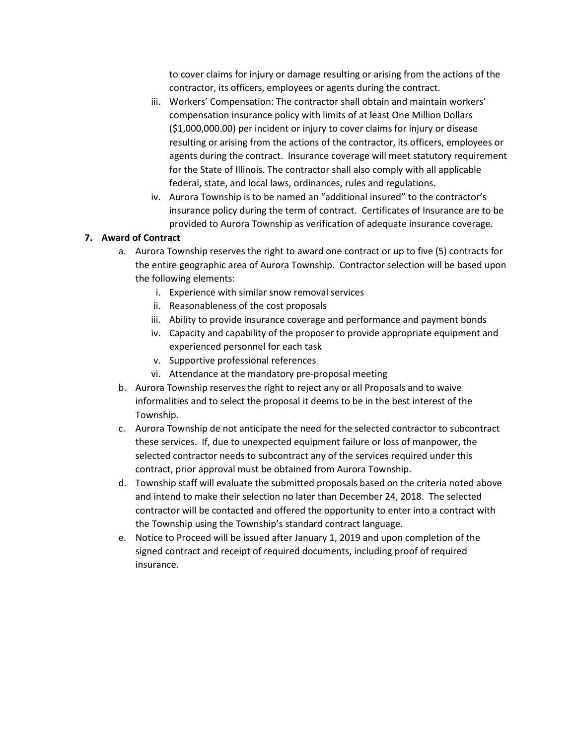to cover claims for injury or damage resulting or arising from the actions of the contractor, its officers, employees or agents during the contract.

- iii. Workers' Compensation: The contractor shall obtain and maintain workers' compensation insurance policy with limits of at least One Million Dollars (\$1,000,000.00) per incident or injury to cover claims for injury or disease resulting or arising from the actions of the contractor, its officers, employees or agents during the contract. Insurance coverage will meet statutory requirement for the State of Illinois. The contractor shall also comply with all applicable federal, state, and local laws, ordinances, rules and regulations.
- iv. Aurora Township is to be named an "additional insured" to the contractor's insurance policy during the term of contract. Certificates of Insurance are to be provided to Aurora Township as verification of adequate insurance coverage.

# **7. Award of Contract**

- a. Aurora Township reserves the right to award one contract or up to five (5) contracts for the entire geographic area of Aurora Township. Contractor selection will be based upon the following elements:
	- i. Experience with similar snow removal services
	- ii. Reasonableness of the cost proposals
	- iii. Ability to provide insurance coverage and performance and payment bonds
	- iv. Capacity and capability of the proposer to provide appropriate equipment and experienced personnel for each task
	- v. Supportive professional references
	- vi. Attendance at the mandatory pre-proposal meeting
- b. Aurora Township reserves the right to reject any or all Proposals and to waive informalities and to select the proposal it deems to be in the best interest of the Township.
- c. Aurora Township de not anticipate the need for the selected contractor to subcontract these services. If, due to unexpected equipment failure or loss of manpower, the selected contractor needs to subcontract any of the services required under this contract, prior approval must be obtained from Aurora Township.
- d. Township staff will evaluate the submitted proposals based on the criteria noted above and intend to make their selection no later than December 24, 2018. The selected contractor will be contacted and offered the opportunity to enter into a contract with the Township using the Township's standard contract language.
- e. Notice to Proceed will be issued after January 1, 2019 and upon completion of the signed contract and receipt of required documents, including proof of required insurance.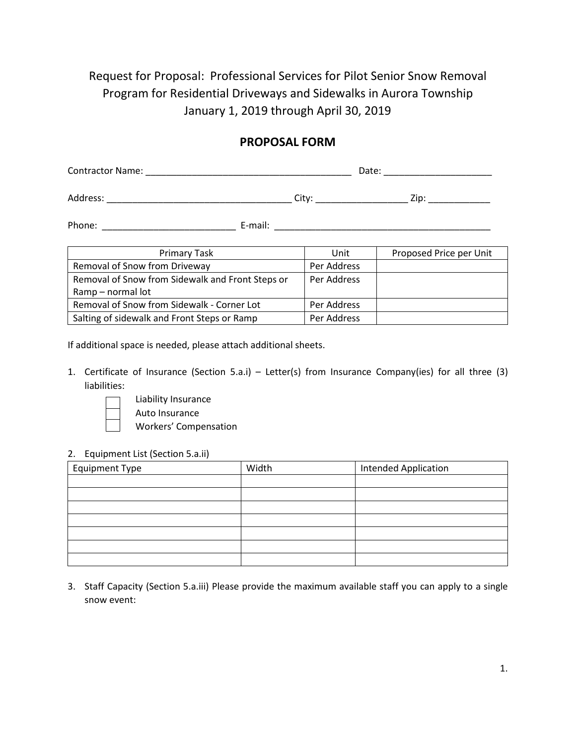Request for Proposal: Professional Services for Pilot Senior Snow Removal Program for Residential Driveways and Sidewalks in Aurora Township January 1, 2019 through April 30, 2019

# **PROPOSAL FORM**

| <b>Contractor Name:</b> |  | Date: |  |      |
|-------------------------|--|-------|--|------|
|                         |  |       |  |      |
| Address:                |  | Citv  |  | Zip: |

Phone: \_\_\_\_\_\_\_\_\_\_\_\_\_\_\_\_\_\_\_\_\_\_\_\_\_\_ E-mail: \_\_\_\_\_\_\_\_\_\_\_\_\_\_\_\_\_\_\_\_\_\_\_\_\_\_\_\_\_\_\_\_\_\_\_\_\_\_\_\_\_\_

| Primary Task                                     | Unit        | Proposed Price per Unit |
|--------------------------------------------------|-------------|-------------------------|
| Removal of Snow from Driveway                    | Per Address |                         |
| Removal of Snow from Sidewalk and Front Steps or | Per Address |                         |
| Ramp - normal lot                                |             |                         |
| Removal of Snow from Sidewalk - Corner Lot       | Per Address |                         |
| Salting of sidewalk and Front Steps or Ramp      | Per Address |                         |

If additional space is needed, please attach additional sheets.

1. Certificate of Insurance (Section 5.a.i) – Letter(s) from Insurance Company(ies) for all three (3) liabilities:



Liability Insurance

Auto Insurance

Workers' Compensation

#### 2. Equipment List (Section 5.a.ii)

| <b>Equipment Type</b> | Width | <b>Intended Application</b> |  |
|-----------------------|-------|-----------------------------|--|
|                       |       |                             |  |
|                       |       |                             |  |
|                       |       |                             |  |
|                       |       |                             |  |
|                       |       |                             |  |
|                       |       |                             |  |
|                       |       |                             |  |

3. Staff Capacity (Section 5.a.iii) Please provide the maximum available staff you can apply to a single snow event: